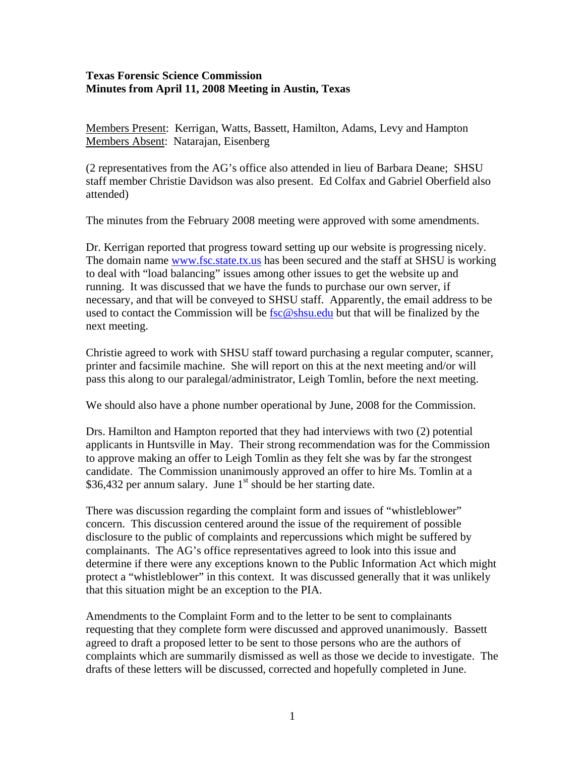## **Texas Forensic Science Commission Minutes from April 11, 2008 Meeting in Austin, Texas**

Members Present: Kerrigan, Watts, Bassett, Hamilton, Adams, Levy and Hampton Members Absent: Natarajan, Eisenberg

(2 representatives from the AG's office also attended in lieu of Barbara Deane; SHSU staff member Christie Davidson was also present. Ed Colfax and Gabriel Oberfield also attended)

The minutes from the February 2008 meeting were approved with some amendments.

Dr. Kerrigan reported that progress toward setting up our website is progressing nicely. The domain name [www.fsc.state.tx.us](http://www.fsc.state.tx.us/) has been secured and the staff at SHSU is working to deal with "load balancing" issues among other issues to get the website up and running. It was discussed that we have the funds to purchase our own server, if necessary, and that will be conveyed to SHSU staff. Apparently, the email address to be used to contact the Commission will be  $\frac{\text{fsc}(\mathcal{Q})}{\text{shsu.edu}}$  but that will be finalized by the next meeting.

Christie agreed to work with SHSU staff toward purchasing a regular computer, scanner, printer and facsimile machine. She will report on this at the next meeting and/or will pass this along to our paralegal/administrator, Leigh Tomlin, before the next meeting.

We should also have a phone number operational by June, 2008 for the Commission.

Drs. Hamilton and Hampton reported that they had interviews with two (2) potential applicants in Huntsville in May. Their strong recommendation was for the Commission to approve making an offer to Leigh Tomlin as they felt she was by far the strongest candidate. The Commission unanimously approved an offer to hire Ms. Tomlin at a \$36,432 per annum salary. June  $1<sup>st</sup>$  should be her starting date.

There was discussion regarding the complaint form and issues of "whistleblower" concern. This discussion centered around the issue of the requirement of possible disclosure to the public of complaints and repercussions which might be suffered by complainants. The AG's office representatives agreed to look into this issue and determine if there were any exceptions known to the Public Information Act which might protect a "whistleblower" in this context. It was discussed generally that it was unlikely that this situation might be an exception to the PIA.

Amendments to the Complaint Form and to the letter to be sent to complainants requesting that they complete form were discussed and approved unanimously. Bassett agreed to draft a proposed letter to be sent to those persons who are the authors of complaints which are summarily dismissed as well as those we decide to investigate. The drafts of these letters will be discussed, corrected and hopefully completed in June.